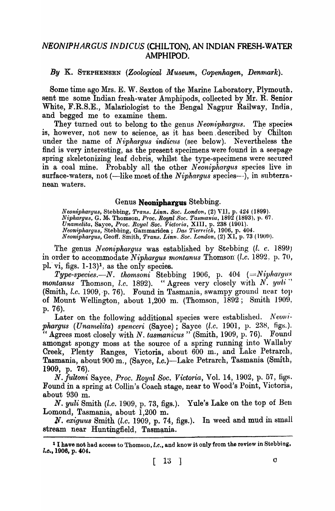## *NEONIPHARGUS INDICUS* (CHILTON). AN INDIAN FRESH-WATER AMPHIPOD.

*By* K. STEPHENSEN *(Zoological Museum, Oopenhagen, Denrna'rk).* 

Some time ago Mrs. E. W. Sexton of the Marine Laboratory, Plymouth. sent me some Indian fresh-water Amphipods, collected by Mr. R. Senior White, F.R.S.E., Malariologist to the Bengal Nagpur Railway, India, and begged me to examine them.

They turned out to belong to the genus *Neonipharqus*. The species is, however, not new to science, as it has been. described by Chilton under the name of *Niphargus indicus* (see below). Nevertheless the find is very interesting, as the present specimens were found in a seepage spring skeletonizing leaf debris, whilst the type-specimens were secured in a coal mine. Probably all the other *Neonipharg'us* species live in surface-waters, not (-like most of the *Niphargus* species---), in subterranean waters.

## Genus Neoniphargus Stebbing.

*Neonipharyus,* Stebbing, *Trans. Linn. Soc. London,* (2) VII, p. 424 (1899). *Nipll,argus,* G. M.. Thomson, *Proc. Royal Soc. Tasmania,* 1892 (1893), p. 67. *Unamelita,* Sayee, *Proc .. Royal Soc. Victvria,* XIII, p. 238 (1901). *Neoniphargus,* Stebbing, Gammaridea; *Dus T·ierrdt;h,* 1906, p. 404. *Neoniphargus, Geoff. Smith, Trans. Linn. Soc. London, (2) XI, p. 73 (1909).* 

The genus *Neoniphargus* was established by Stebbing (l. c. 1899) in order to accommodate *Niphargus montanus* Thomson (l.c. 1892, p. 70, pl. vi, figs.  $1-13$ )<sup>1</sup>, as the only species.

*Type-species.—N. thomsoni* Stebbing 1906, p. 404 (=*Niphargus montanus* Thomson, *l.c.* 1892). "Agrees very closely with N. yuli" (Smith, *l.c.* 1909, p. 76). Found in Tasmania, swampy ground near top of Mount Wellington, about  $1,200$  m. (Thomson,  $1892$ ; Smith  $1909$ , p. 76).

Later on the following additional species were established. Neoni*phargus (Unamelita) spenceri (Sayce)*; Sayce *(l.c. 1901, p. 238, figs.).* Agrees most closely with *N. tasmanicus* " (Smith, 1909, p. 76). Found amongst spongy moss at the source of a spring running into Wallaby Creek, Plenty Ranges, Victoria, about 600 m., and Lake Petrarch, Tasmania, about 900 m., (Sayee, l.c.)-Lake Petrarch, Tasmania (Smith, 1909, p. 76).

*N. fultoni* Sayee, *Proc. Royal Soc. Victoria,* Vol. 14, 1902, p. 57, figs. Found in a spring at Collin's Coach stage, near to Wood's Point, Victoria, about 930 m.

*N. yuli* Smith *(l.c.* 1909, p. 73, figs.). Yule's Lake on the top of Ben Lomond, Tasmania, about 1,200 m.

N. exiguus Smith *(l.c.* 1909, p. 74, figs.). In weed and mud in small stream near Huntingfield, Tasmania.

<sup>&</sup>lt;sup>1</sup> I have not had access to Thomson, *l.c.*, and know it only from the review in Stebbing, l.o., 1906, p. 404.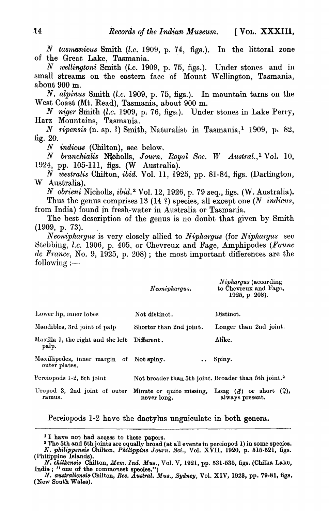*N tasmanicus Smith (l.c. 1909, p. 74, figs.).* In the littoral zone of the Great Lake, Tasmania. .

*N 1vellingtoni* Smith *(l.e.* 1909, p. 75, figs.). Under stones and in small streams on the eastern face of Mount Wellington, Tasmania, about 900 m.

*N. alpinus* Smith *(l.c.* 1909, p. 75, figs.). In mountain tarns on the West Coast (Mt. Read), Tasmania, about 900 m.

*N niger* Smith *(l.c.* 1909, p. 76, figs.). Under stones in Lake Perry, Harz Mountains, Tasmania.

N ripensis (n. sp. ?) Smith, Naturalist in Tasmania,<sup>1</sup> 1909, p. 82, fig.  $20.$ 

*N indicus* (Chilton), see below.

*N branchialis Nicholls, Journ. Royal Soc. W Austral.,<sup>1</sup> Vol. 10,* 1924, pp. 105-111, figs. (W Australia).

*N westralis* Chilton, *ibid.* Vol. 11, 1925, pp. 81-84, figs. (Darlington, W Australia).

*N obrieni* Nicholls, *ibid.* 2 Vol. 12,1926, p. 79 seq., figs. (W. Australia). Thus the genus comprises 13 (14 ?) species, all except one (N *indicus*, from India) found in fresh-water in Australia or Tasmania.

The best description of the genus is no doubt that given by Smith  $(1909, p. 73)$ .

*Neoniphargus* is very closely allied to *Niphargus* (for *Niphargus* sec Stebbing, *l.c.* 1906, p. 405, or Chevreux and Fage, Amphipodes (Faune de France, No. 9, 1925, p. 208); the most important differences are the following  $:=$ 

*N·iphargus* (according

|                                                           | Neoniphargus.                                                    | <i>IV vpnaryus</i> (according<br>to Chevreux and Fage,<br>1925, p. 208). |
|-----------------------------------------------------------|------------------------------------------------------------------|--------------------------------------------------------------------------|
| Lower lip, inner lobes                                    | Not distinct.                                                    | Distinct.                                                                |
| Mandibles, 3rd joint of palp                              | Shorter than 2nd joint.                                          | Longer than 2nd joint.                                                   |
| Maxilla 1, the right and the left Different.<br>palp.     |                                                                  | Alike.                                                                   |
| Maxillipedes, inner margin of Not spiny.<br>outer plates. |                                                                  | Spiny.                                                                   |
| Perciopods 1-2, 6th joint                                 | Not broader than 5th joint. Broader than 5th joint. <sup>2</sup> |                                                                          |
| Uropod 3, 2nd joint of outer<br>ramus.                    | Minute or quite missing,<br>never long.                          | Long $(\delta)$ or short $(\varphi)$ ,<br>always present.                |

Pereiopods 1-2 have the dactylus unguiculate in both genera.

<sup>&</sup>lt;sup>1</sup> I have not had access to these papers.

<sup>&</sup>lt;sup>2</sup> The 5th and 6th joints are equally broad (at all events in perciopod 1) in some species. *N. phiUppensis* Chilton. *Philippine Journ. Sci.,* Vol. XVII, 1920, p. 515-521, figs. (Philippine Islands).

*N. chilkensis* Chilton, *Mem. Ind. Mus.*, Vol. V, 1921, pp. 531-535, figs. (Chilka Lake, India; " one of the commonest species.")

*N. australiensis* Chilton, *Rec. Austral. Mus., Sydney, Vol. XIV, 1923*, pp. 79-81, figs. (New South Wales).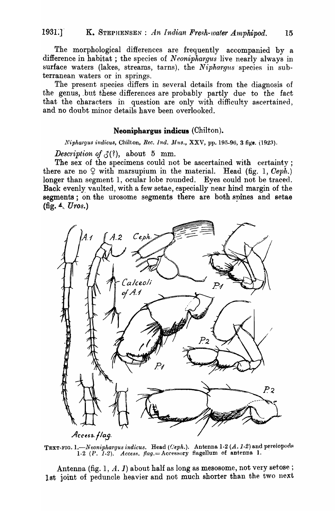The morphological differences are frequently accompanied by a difference in habitat; the species of *Neoniphargus* live nearly always in surface waters (lakes, streams, tarns), the *Nipharqus* species in subterranean waters or in springs.

The present species differs in several details from the diagnosis of the genus, but these differences are probably partly due to the fact that the characters in question are only with difficulty ascertained, and no doubt minor details have been overlooked.

## Neoniphargus indicue (Chilton).

*Niphargus indicus, Chilton, Rec. Ind. Mus., XXV, pp. 195-96, 3 figs. (1923).* 

*Description of*  $\mathcal{J}(?)$ , about 5 mm.

The sex of the specimens could not be ascertained with certainty; there are no  $\varphi$  with marsupium in the material. Head (fig. 1, *Ceph.*) longer than segment 1, ocular lobe rounded. Eyes could not be traced. Back evenly vaulted, with a few setae, especially near hind margin of the segments; on the urosome segments there are both spines and setae (fig. 4,. *U ros.)* 



TEXT-FIG. 1.—Neoniphargus indicus. Head *(Ceph.).* Antenna 1-2 *(A. 1-2)* and pereiopods 1-2 (P. 1-2). *Access. flag.* = Accessory flagellum of antenna 1.

Antenna (fig. 1,  $A. I$ ) about half as long as mesosome, not very setose; 1st joint of peduncle heavier and not much shorter than the two next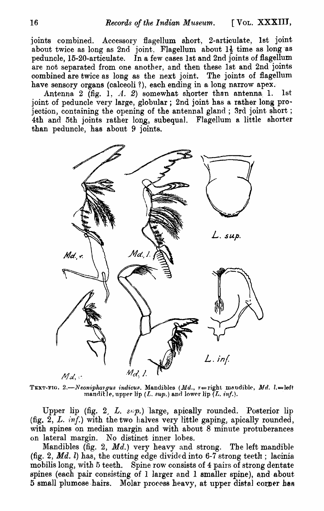joints combined. Accessory flagellum short, 2-articulate, 1st joint about twice as long as 2nd joint, Flagellum about  $1\frac{1}{2}$  time as long as peduncle, 15-20-articulate. In a few cases 1st and 2nd joints of flagellum are not separated from one another, and then these 1st and 2nd joints combined are twice as long as the next joint. The joints of flagellum have sensory organs (calceoli ?), each ending in a long narrow apex.

Antenna 2 (fig. 1, A. 2) somewhat shorter than antenna 1. 1st joint of peduncle very large, globular; 2nd joint has a rather long projection, containing the opening of the antennal gland; 3rd joint short; 4th and 5th joints rather long, 8ubequal. Flagellum a little shorter than peduncle, has about 9 joints.



TEXT-FIG. 2.-Neonipha1gus indicus. Mandibles (Md.,  $r =$ right mandible, Md. l.=left. manditle, upper lip  $(L. \, sup.)$  and lower lip  $(L. \, inf.).$ 

Upper lip (fig. 2, L.  $s_n$ ) large, apically rounded. Posterior lip (fig. 2, *L. 1'nf.)* with the two halves very little gaping, apically rounded, with spines on median margin and with about 8 minute protuberances on lateral margin. No distinct inner lobes.

Mandibles (fig. 2, *Md.)* very heavy and strong. The left mandible (fig. 2,  $Md.$  l) has, the cutting edge divided into 6-7 strong teeth; lacinia. mobilis long, with 5 teeth. Spine row consists of 4 pairs of strong dentate spines (each pair consisting of 1 larger and 1 smaller spine), and about 5 small plumose hairs. Molar process heavy, at upper distal corner has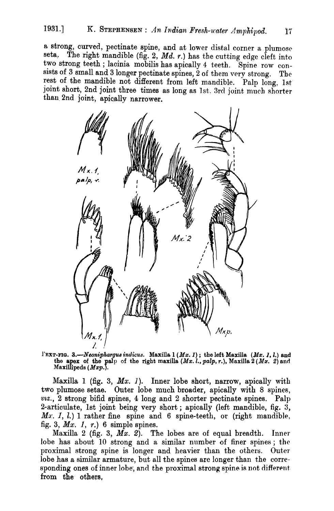a strong, curved, pectinate spine, and at lower distal corner a plumose seta. The right mandible (fig. 2.  $Md$ , r) has the cutting edge cleft into The right mandible (fig. 2,  $Md. r.$ ) has the cutting edge cleft into. two strong teeth; lacinia mobilis has apically 4 teeth. Spine row consists of 3 small and 3 longer pectinate spines, 2 of them very strong. The rest of the mandible not different from left mandible. Palp long, 1st joint short, 2nd joint three times as long as 1st. 3rd joint much shorter than 2nd joint, apically narrower.



l'EXT-FIG. 3.-Neoniphargus indicus. Maxilla 1 (Mx. 1); the left Maxilla (Mx. 1, l.) and the apex of the palp of the right maxilla  $(Mx.1, palp, r.),$  Maxilla  $2(Mx. 2)$  and Maxillipeds (*Mxp*.).

Maxilla 1 (fig. 3, *Mx.* 1). Inner lobe short, narrow, apically with two plumose setae. Outer lobe much broader, apically with 8 spines,  $vx.,$  2 strong bifid spines, 4 long and 2 shorter pectinate spines. Palp 2-articulate, 1st joint being very short; apically (left mandible, fig. 3, *Mx. 1, l.*) 1 rather fine spine and 6 spine-teeth, or (right mandible, fig. 3, *Mx.* 1, *r.)* 6 simple spines.

Maxilla 2 (fig. 3, *Mx.* 2). The lobes are of equal breadth. Inner lobe has about  $10$  strong and a similar number of finer spines; the proximal strong spine is longer and heavier than the others. Outer lobe has a similar armature, but all the spines are longer than the corresponding ones of inner lobe, and the proximal strong spine is not different from the others,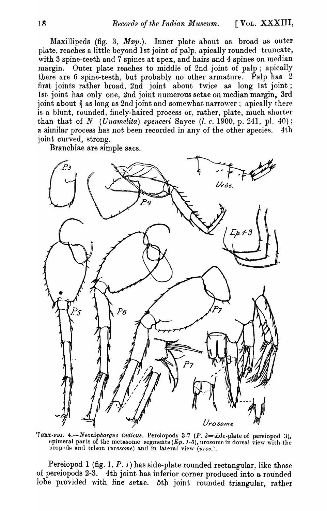Maxillipeds (fig. 3,  $Mxp.$ ). Inner plate about as broad as outer plate, reaches a little beyond 1st joint of palp, apically rounded truncate, with 3 spine-teeth and 7 spines at apex, and hairs and 4 spines on median margin. Outer plate reaches to middle of 2nd joint of palp; apically there are 6 spine-teeth, but probably no other armature. Palp has  $2$ first joints rather broad, 2nd joint about twice as long 1st joint; 1st joint has only one, 2nd joint numerous setae on median margin, 3rd joint about  $\frac{2}{3}$  as long as 2nd joint and somewhat narrower; apically there is a blunt, rounded, finely-haired process or, rather, plate, much shorter than that of  $N$  *(Unamelita) spenceri* Sayce (*l. c.* 1900, p. 241, pl. 40); a similar process has not been recorded in any of the other species. 4th joint curved, strong.

Branchiae are simple sacs.



TEXT-FIG. 4.-*Neoniphargus indicus*. Pereiopods 3-7 (P. 3= side-plate of pereiopod 3), epimeral parts of the metasome segments  $(Ep. 1-3)$ , urosome in dorsal view with the uropods and telson (urosome) and in lateral view (uros.'.

Pereiopod 1 (fig. 1, P. 1) has side-plate rounded rectangular, like those of pereiopods 2-3. 4th joint has inferior corner produced into a rounded lobe provided with fine setae. 5th joint rounded triangular, rather